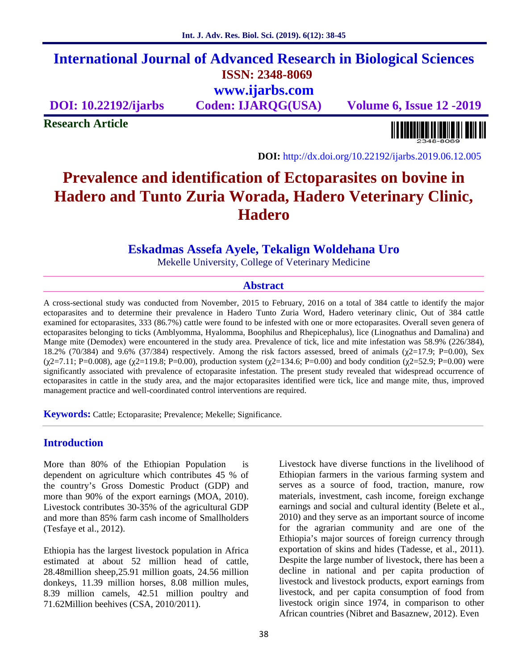## **International Journal of Advanced Research in Biological Sciences ISSN: 2348-8069 www.ijarbs.com**

**DOI: 10.22192/ijarbs Coden: IJARQG(USA) Volume 6, Issue 12 -2019**

**Research Article**

<u> Alban kalendari kalendar pada sebagai pengangkan pada atau pada atau pada atau sebagai pada atau salah pada a</u>

**DOI:** http://dx.doi.org/10.22192/ijarbs.2019.06.12.005

# **Prevalence and identification of Ectoparasites on bovine in Hadero and Tunto Zuria Worada, Hadero Veterinary Clinic, Hadero**

## **Eskadmas Assefa Ayele, Tekalign Woldehana Uro**

Mekelle University, College of Veterinary Medicine

#### **Abstract**

A cross-sectional study was conducted from November, 2015 to February, 2016 on a total of 384 cattle to identify the major ectoparasites and to determine their prevalence in Hadero Tunto Zuria Word, Hadero veterinary clinic, Out of 384 cattle examined for ectoparasites, 333 (86.7%) cattle were found to be infested with one or more ectoparasites. Overall seven genera of ectoparasites belonging to ticks (Amblyomma, Hyalomma, Boophilus and Rhepicephalus), lice (Linognathus and Damalina) and Mange mite (Demodex) were encountered in the study area. Prevalence of tick, lice and mite infestation was 58.9% (226/384), 18.2% (70/384) and 9.6% (37/384) respectively. Among the risk factors assessed, breed of animals (2=17.9; P=0.00), Sex ( $2=7.11$ ; P=0.008), age ( $2=119.8$ ; P=0.00), production system ( $2=134.6$ ; P=0.00) and body condition ( $2=52.9$ ; P=0.00) were significantly associated with prevalence of ectoparasite infestation. The present study revealed that widespread occurrence of ectoparasites in cattle in the study area, and the major ectoparasites identified were tick, lice and mange mite, thus, improved management practice and well-coordinated control interventions are required.

**Keywords:** Cattle; Ectoparasite; Prevalence; Mekelle; Significance.

#### **Introduction**

More than 80% of the Ethiopian Population is dependent on agriculture which contributes 45 % of the country's Gross Domestic Product (GDP) and more than 90% of the export earnings (MOA, 2010). Livestock contributes 30-35% of the agricultural GDP and more than 85% farm cash income of Smallholders (Tesfaye et al., 2012).

Ethiopia has the largest livestock population in Africa estimated at about 52 million head of cattle, 28.48million sheep,25.91 million goats, 24.56 million donkeys, 11.39 million horses, 8.08 million mules, 8.39 million camels, 42.51 million poultry and 71.62Million beehives (CSA, 2010/2011).

Livestock have diverse functions in the livelihood of Ethiopian farmers in the various farming system and serves as a source of food, traction, manure, row materials, investment, cash income, foreign exchange earnings and social and cultural identity (Belete et al., 2010) and they serve as an important source of income for the agrarian community and are one of the Ethiopia's major sources of foreign currency through exportation of skins and hides (Tadesse, et al., 2011). Despite the large number of livestock, there has been a decline in national and per capita production of livestock and livestock products, export earnings from livestock, and per capita consumption of food from livestock origin since 1974, in comparison to other African countries (Nibret and Basaznew, 2012). Even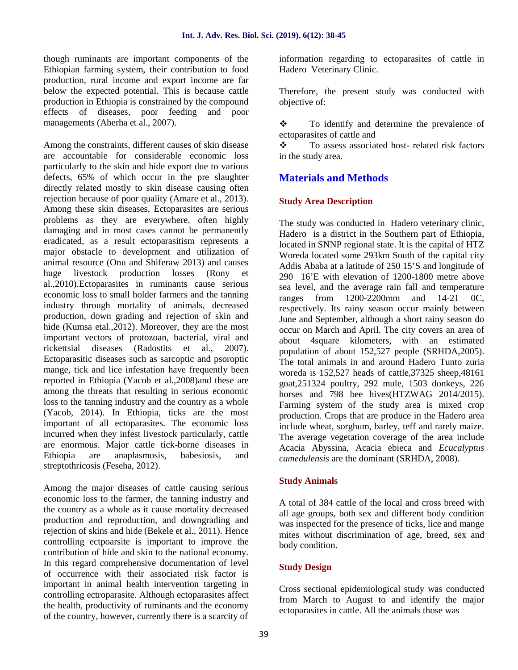though ruminants are important components of the Ethiopian farming system, their contribution to food production, rural income and export income are far below the expected potential. This is because cattle production in Ethiopia is constrained by the compound effects of diseases, poor feeding and poor managements (Aberha et al., 2007).

Among the constraints, different causes of skin disease  $\ddot{\bullet}$ are accountable for considerable economic loss particularly to the skin and hide export due to various defects, 65% of which occur in the pre slaughter directly related mostly to skin disease causing often rejection because of poor quality (Amare et al., 2013). Among these skin diseases, Ectoparasites are serious problems as they are everywhere, often highly damaging and in most cases cannot be permanently eradicated, as a result ectoparasitism represents a major obstacle to development and utilization of animal resource (Onu and Shiferaw 2013) and causes huge livestock production losses (Rony et al.,2010).Ectoparasites in ruminants cause serious economic loss to small holder farmers and the tanning industry through mortality of animals, decreased production, down grading and rejection of skin and hide (Kumsa etal.,2012). Moreover, they are the most important vectors of protozoan, bacterial, viral and rickettsial diseases (Radostits et al., 2007). Ectoparasitic diseases such as sarcoptic and psoroptic mange, tick and lice infestation have frequently been reported in Ethiopia (Yacob et al.,2008)and these are among the threats that resulting in serious economic loss to the tanning industry and the country as a whole (Yacob, 2014). In Ethiopia, ticks are the most important of all ectoparasites. The economic loss incurred when they infest livestock particularly, cattle are enormous. Major cattle tick-borne diseases in Ethiopia are anaplasmosis, babesiosis, and streptothricosis (Feseha, 2012).

Among the major diseases of cattle causing serious economic loss to the farmer, the tanning industry and the country as a whole as it cause mortality decreased production and reproduction, and downgrading and rejection of skins and hide (Bekele et al., 2011). Hence controlling ectpoarsite is important to improve the contribution of hide and skin to the national economy. In this regard comprehensive documentation of level of occurrence with their associated risk factor is important in animal health intervention targeting in controlling ectroparasite. Although ectoparasites affect the health, productivity of ruminants and the economy of the country, however, currently there is a scarcity of

information regarding to ectoparasites of cattle in Hadero Veterinary Clinic.

Therefore, the present study was conducted with objective of:

\* To identify and determine the prevalence of ectoparasites of cattle and

 To assess associated host- related risk factors in the study area.

## **Materials and Methods**

#### **Study Area Description**

The study was conducted in Hadero veterinary clinic, Hadero is a district in the Southern part of Ethiopia, located in SNNP regional state. It is the capital of HTZ Woreda located some 293km South of the capital city Addis Ababa at a latitude of 250 15'S and longitude of  $290$  16'E with elevation of 1200-1800 metre above sea level, and the average rain fall and temperature ranges from 1200-2200mm and 14-21 0C, respectively. Its rainy season occur mainly between June and September, although a short rainy season do occur on March and April. The city covers an area of about 4square kilometers, with an estimated population of about 152,527 people (SRHDA,2005). The total animals in and around Hadero Tunto zuria woreda is 152,527 heads of cattle,37325 sheep,48161 goat,251324 poultry, 292 mule, 1503 donkeys, 226 horses and 798 bee hives(HTZWAG 2014/2015). Farming system of the study area is mixed crop production. Crops that are produce in the Hadero area include wheat, sorghum, barley, teff and rarely maize. The average vegetation coverage of the area include Acacia Abyssina, Acacia ebieca and *Ecucalyptus camedulensis* are the dominant (SRHDA, 2008).

#### **Study Animals**

A total of 384 cattle of the local and cross breed with all age groups, both sex and different body condition was inspected for the presence of ticks, lice and mange mites without discrimination of age, breed, sex and body condition.

#### **Study Design**

Cross sectional epidemiological study was conducted from March to August to and identify the major ectoparasites in cattle. All the animals those was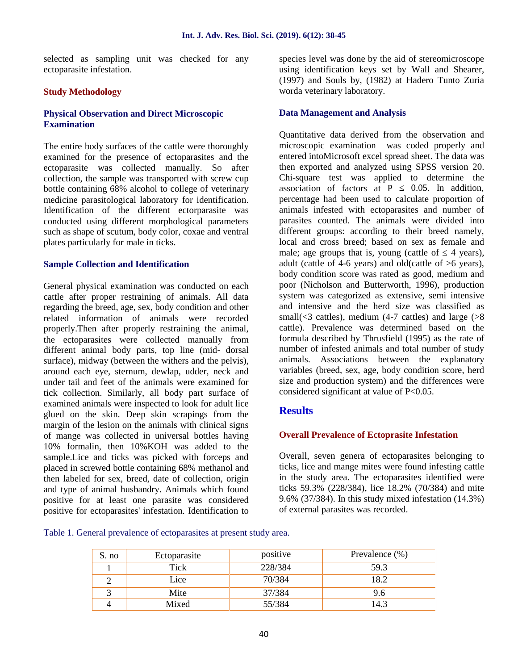selected as sampling unit was checked for any ectoparasite infestation.

#### **Study Methodology**

#### **Physical Observation and Direct Microscopic Examination**

The entire body surfaces of the cattle were thoroughly examined for the presence of ectoparasites and the ectoparasite was collected manually. So after collection, the sample was transported with screw cup bottle containing 68% alcohol to college of veterinary medicine parasitological laboratory for identification. Identification of the different ectorparasite was conducted using different morphological parameters such as shape of scutum, body color, coxae and ventral plates particularly for male in ticks.

#### **Sample Collection and Identification**

General physical examination was conducted on each cattle after proper restraining of animals. All data regarding the breed, age, sex, body condition and other related information of animals were recorded properly.Then after properly restraining the animal, the ectoparasites were collected manually from different animal body parts, top line (mid- dorsal surface), midway (between the withers and the pelvis), around each eye, sternum, dewlap, udder, neck and under tail and feet of the animals were examined for tick collection. Similarly, all body part surface of examined animals were inspected to look for adult lice glued on the skin. Deep skin scrapings from the margin of the lesion on the animals with clinical signs of mange was collected in universal bottles having 10% formalin, then 10%KOH was added to the sample.Lice and ticks was picked with forceps and placed in screwed bottle containing 68% methanol and then labeled for sex, breed, date of collection, origin and type of animal husbandry. Animals which found positive for at least one parasite was considered positive for ectoparasites' infestation. Identification to

species level was done by the aid of stereomicroscope using identification keys set by Wall and Shearer, (1997) and Souls by, (1982) at Hadero Tunto Zuria worda veterinary laboratory.

#### **Data Management and Analysis**

Quantitative data derived from the observation and microscopic examination was coded properly and entered intoMicrosoft excel spread sheet. The data was then exported and analyzed using SPSS version 20. Chi-square test was applied to determine the association of factors at  $P = 0.05$ . In addition, percentage had been used to calculate proportion of animals infested with ectoparasites and number of parasites counted. The animals were divided into different groups: according to their breed namely, local and cross breed; based on sex as female and male; age groups that is, young (cattle of  $\frac{4 \text{ years}}{2}$ ), adult (cattle of 4-6 years) and old(cattle of  $>6$  years), body condition score was rated as good, medium and poor (Nicholson and Butterworth, 1996), production system was categorized as extensive, semi intensive and intensive and the herd size was classified as small( $\leq$ 3 cattles), medium (4-7 cattles) and large ( $>8$ cattle). Prevalence was determined based on the formula described by Thrusfield (1995) as the rate of number of infested animals and total number of study animals. Associations between the explanatory variables (breed, sex, age, body condition score, herd size and production system) and the differences were considered significant at value of P<0.05.

#### **Results**

#### **Overall Prevalence of Ectoprasite Infestation**

Overall, seven genera of ectoparasites belonging to ticks, lice and mange mites were found infesting cattle in the study area. The ectoparasites identified were ticks 59.3% (228/384), lice 18.2% (70/384) and mite 9.6% (37/384). In this study mixed infestation (14.3%) of external parasites was recorded.

Table 1. General prevalence of ectoparasites at present study area.

| S. no | Ectoparasite | positive | Prevalence $(\%)$ |
|-------|--------------|----------|-------------------|
|       | Tick         | 228/384  | 59.3              |
|       | Lice         | 70/384   | 18.2              |
|       | Mite         | 37/384   | 9.6               |
|       | Mixed        | 55/384   | 14.3              |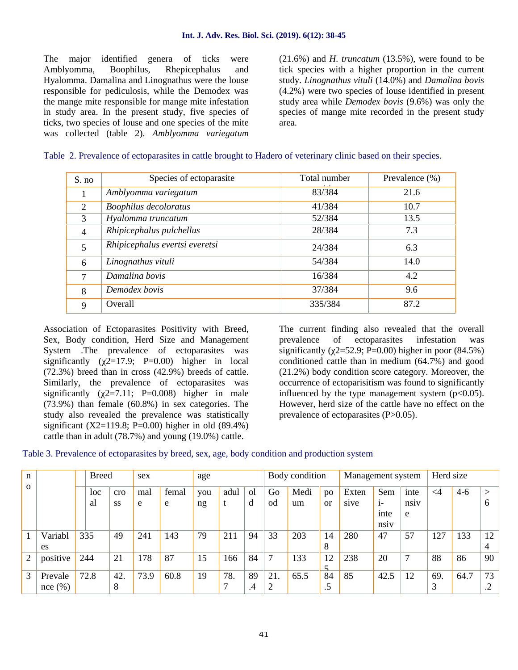The major identified genera of ticks were Amblyomma, Boophilus, Rhepicephalus and Hyalomma. Damalina and Linognathus were the louse responsible for pediculosis, while the Demodex was the mange mite responsible for mange mite infestation in study area. In the present study, five species of ticks, two species of louse and one species of the mite was collected (table 2). *Amblyomma variegatum* (21.6%) and *H. truncatum* (13.5%), were found to be tick species with a higher proportion in the current study. *Linognathus vituli* (14.0%) and *Damalina bovis* (4.2%) were two species of louse identified in present study area while *Demodex bovis* (9.6%) was only the species of mange mite recorded in the present study area.

| S. no          | Species of ectoparasite        | Total number | Prevalence $(\% )$ |
|----------------|--------------------------------|--------------|--------------------|
|                | Amblyomma variegatum           | 83/384       | 21.6               |
| 2              | <b>Boophilus decoloratus</b>   | 41/384       | 10.7               |
| 3              | Hyalomma truncatum             | 52/384       | 13.5               |
| $\overline{4}$ | Rhipicephalus pulchellus       | 28/384       | 7.3                |
|                | Rhipicephalus evertsi everetsi | 24/384       | 6.3                |
| 6              | Linognathus vituli             | 54/384       | 14.0               |
| 7              | Damalina bovis                 | 16/384       | 4.2                |
| 8              | Demodex bovis                  | 37/384       | 9.6                |
| $\mathbf Q$    | Overall                        | 335/384      | 87.2               |

|  |  |  |  | Table 2. Prevalence of ectoparasites in cattle brought to Hadero of veterinary clinic based on their species. |  |  |  |
|--|--|--|--|---------------------------------------------------------------------------------------------------------------|--|--|--|
|  |  |  |  |                                                                                                               |  |  |  |

Association of Ectoparasites Positivity with Breed, Sex, Body condition, Herd Size and Management System .The prevalence of ectoparasites was significantly ( $\overline{2}$ =17.9; P=0.00) higher in local (72.3%) breed than in cross (42.9%) breeds of cattle. Similarly, the prevalence of ectoparasites was significantly ( $2=7.11$ ; P=0.008) higher in male (73.9%) than female (60.8%) in sex categories. The study also revealed the prevalence was statistically significant (X2=119.8; P=0.00) higher in old  $(89.4\%)$ cattle than in adult (78.7%) and young (19.0%) cattle.

The current finding also revealed that the overall prevalence of ectoparasites infestation was significantly ( $2=52.9$ ; P=0.00) higher in poor (84.5%) conditioned cattle than in medium (64.7%) and good (21.2%) body condition score category. Moreover, the occurrence of ectoparisitism was found to significantly influenced by the type management system  $(p<0.05)$ . However, herd size of the cattle have no effect on the prevalence of ectoparasites (P>0.05).

Table 3. Prevalence of ectoparasites by breed, sex, age, body condition and production system

| n        |                   |     | <b>Breed</b> |                  | sex      |            | age       |           |                   | Body condition |            |                     | Management system |                         |              | Herd size |       |                      |
|----------|-------------------|-----|--------------|------------------|----------|------------|-----------|-----------|-------------------|----------------|------------|---------------------|-------------------|-------------------------|--------------|-----------|-------|----------------------|
| $\Omega$ |                   |     | loc<br>al    | cro<br><b>SS</b> | mal<br>e | femal<br>e | you<br>ng | adul<br>t | <sub>o</sub><br>d | Go<br>od       | Medi<br>um | po<br><sub>or</sub> | Exten<br>sive     | Sem<br>$1-$             | inte<br>nsiy | $\leq$ 4  | $4-6$ | $\rm{>}$<br>$\sigma$ |
|          |                   |     |              |                  |          |            |           |           |                   |                |            |                     |                   | inte<br>ns <sub>1</sub> | e            |           |       |                      |
|          | Variabl<br>es     | 335 |              | 49               | 241      | 143        | 79        | 211       | 94                | 33             | 203        | 14<br>8             | 280               | 47                      | 57           | 127       | 33    | 12<br>4              |
| 2        | positive          | 244 |              | 21               | 178      | 87         | 15        | 166       | 84                | 7              | 133        | 12                  | 238               | 20                      | 7            | 88        | 86    | 90                   |
| 3        | Prevale<br>nce(%) |     | 72.8         | 42.<br>8         | 73.9     | 60.8       | 19        | 78.<br>7  | 89<br>$\cdot$     | 21.            | 65.5       | 84<br>د.            | 85                | 42.5                    | 12           | 69.<br>3  | 64.7  | 73<br>$\bigcap$      |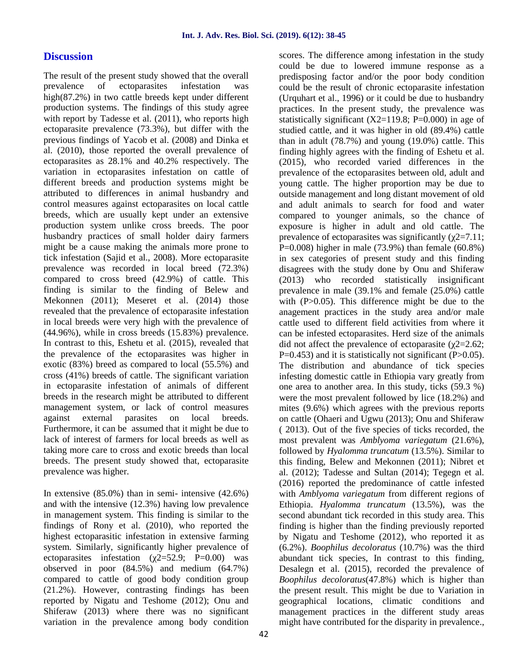## **Discussion**

The result of the present study showed that the overall prevalence of ectoparasites infestation was high(87.2%) in two cattle breeds kept under different production systems. The findings of this study agree with report by Tadesse et al. (2011), who reports high ectoparasite prevalence (73.3%), but differ with the previous findings of Yacob et al. (2008) and Dinka et al. (2010), those reported the overall prevalence of ectoparasites as 28.1% and 40.2% respectively. The variation in ectoparasites infestation on cattle of different breeds and production systems might be attributed to differences in animal husbandry and control measures against ectoparasites on local cattle breeds, which are usually kept under an extensive production system unlike cross breeds. The poor husbandry practices of small holder dairy farmers might be a cause making the animals more prone to tick infestation (Sajid et al., 2008). More ectoparasite prevalence was recorded in local breed (72.3%) compared to cross breed (42.9%) of cattle. This finding is similar to the finding of Belew and Mekonnen (2011); Meseret et al. (2014) those revealed that the prevalence of ectoparasite infestation in local breeds were very high with the prevalence of (44.96%), while in cross breeds (15.83%) prevalence. In contrast to this, Eshetu et al. (2015), revealed that the prevalence of the ectoparasites was higher in exotic (83%) breed as compared to local (55.5%) and cross (41%) breeds of cattle. The significant variation in ectoparasite infestation of animals of different breeds in the research might be attributed to different management system, or lack of control measures against external parasites on local breeds. Furthermore, it can be assumed that it might be due to lack of interest of farmers for local breeds as well as taking more care to cross and exotic breeds than local breeds. The present study showed that, ectoparasite prevalence was higher.

In extensive  $(85.0\%)$  than in semi- intensive  $(42.6\%)$ and with the intensive (12.3%) having low prevalence in management system. This finding is similar to the findings of Rony et al. (2010), who reported the highest ectoparasitic infestation in extensive farming system. Similarly, significantly higher prevalence of ectoparasites infestation ( $2=52.9$ ; P=0.00) was observed in poor (84.5%) and medium (64.7%) compared to cattle of good body condition group (21.2%). However, contrasting findings has been reported by Nigatu and Teshome (2012); Onu and Shiferaw (2013) where there was no significant variation in the prevalence among body condition

could be due to lowered immune response as a predisposing factor and/or the poor body condition could be the result of chronic ectoparasite infestation (Urquhart et al., 1996) or it could be due to husbandry practices. In the present study, the prevalence was statistically significant  $(X2=119.8; P=0.000)$  in age of studied cattle, and it was higher in old (89.4%) cattle than in adult (78.7%) and young (19.0%) cattle. This finding highly agrees with the finding of Eshetu et al. (2015), who recorded varied differences in the prevalence of the ectoparasites between old, adult and young cattle. The higher proportion may be due to outside management and long distant movement of old and adult animals to search for food and water compared to younger animals, so the chance of exposure is higher in adult and old cattle. The prevalence of ectoparasites was significantly  $(2=7.11;$  $P=0.008$ ) higher in male (73.9%) than female (60.8%) in sex categories of present study and this finding disagrees with the study done by Onu and Shiferaw (2013) who recorded statistically insignificant prevalence in male (39.1% and female (25.0%) cattle with  $(P>0.05)$ . This difference might be due to the anagement practices in the study area and/or male cattle used to different field activities from where it can be infested ectoparasites. Herd size of the animals did not affect the prevalence of ectoparasite ( $2=2.62$ ;  $P=0.453$ ) and it is statistically not significant (P $>0.05$ ). The distribution and abundance of tick species infesting domestic cattle in Ethiopia vary greatly from one area to another area. In this study, ticks (59.3 %) were the most prevalent followed by lice (18.2%) and mites (9.6%) which agrees with the previous reports on cattle (Ohaeri and Ugwu (2013); Onu and Shiferaw ( 2013). Out of the five species of ticks recorded, the most prevalent was *Amblyoma variegatum* (21.6%), followed by *Hyalomma truncatum* (13.5%). Similar to this finding, Belew and Mekonnen (2011); Nibret et al. (2012); Tadesse and Sultan (2014); Tegegn et al. (2016) reported the predominance of cattle infested with *Amblyoma variegatum* from different regions of Ethiopia. *Hyalomma truncatum* (13.5%), was the second abundant tick recorded in this study area. This finding is higher than the finding previously reported by Nigatu and Teshome (2012), who reported it as (6.2%). *Boophilus decoloratus* (10.7%) was the third abundant tick species, In contrast to this finding, Desalegn et al. (2015), recorded the prevalence of *Boophilus decoloratus*(47.8%) which is higher than the present result. This might be due to Variation in geographical locations, climatic conditions and management practices in the different study areas might have contributed for the disparity in prevalence.,

scores. The difference among infestation in the study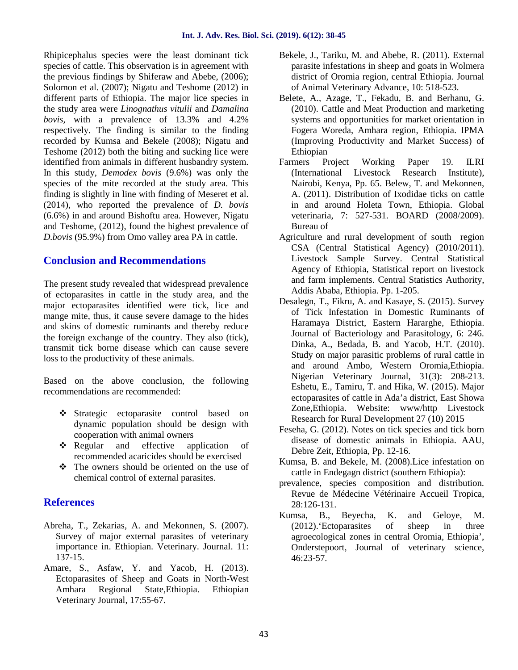Rhipicephalus species were the least dominant tick species of cattle. This observation is in agreement with the previous findings by Shiferaw and Abebe, (2006); Solomon et al. (2007); Nigatu and Teshome (2012) in different parts of Ethiopia. The major lice species in the study area were *Linognathus vitulii* and *Damalina bovis,* with a prevalence of 13.3% and 4.2% respectively. The finding is similar to the finding recorded by Kumsa and Bekele (2008); Nigatu and Teshome (2012) both the biting and sucking lice were identified from animals in different husbandry system. In this study, *Demodex bovis* (9.6%) was only the species of the mite recorded at the study area. This finding is slightly in line with finding of Meseret et al. (2014), who reported the prevalence of *D. bovis* (6.6%) in and around Bishoftu area. However, Nigatu and Teshome, (2012), found the highest prevalence of *D.bovis* (95.9%) from Omo valley area PA in cattle.

## **Conclusion and Recommendations**

The present study revealed that widespread prevalence of ectoparasites in cattle in the study area, and the major ectoparasites identified were tick, lice and mange mite, thus, it cause severe damage to the hides and skins of domestic ruminants and thereby reduce the foreign exchange of the country. They also (tick), transmit tick borne disease which can cause severe loss to the productivity of these animals.

Based on the above conclusion, the following recommendations are recommended:

- Strategic ectoparasite control based on dynamic population should be design with cooperation with animal owners
- Regular and effective application of recommended acaricides should be exercised
- $\div$  The owners should be oriented on the use of chemical control of external parasites.

## **References**

- Abreha, T., Zekarias, A. and Mekonnen, S. (2007). Survey of major external parasites of veterinary importance in. Ethiopian. Veterinary. Journal. 11: 137-15.
- Amare, S., Asfaw, Y. and Yacob, H. (2013). Ectoparasites of Sheep and Goats in North-West Amhara Regional State,Ethiopia. Ethiopian Veterinary Journal, 17:55-67.
- Bekele, J., Tariku, M. and Abebe, R. (2011). External parasite infestations in sheep and goats in Wolmera district of Oromia region, central Ethiopia. Journal of Animal Veterinary Advance, 10: 518-523.
- Belete, A., Azage, T., Fekadu, B. and Berhanu, G. (2010). Cattle and Meat Production and marketing systems and opportunities for market orientation in Fogera Woreda, Amhara region, Ethiopia. IPMA (Improving Productivity and Market Success) of Ethiopian
- Farmers Project Working Paper 19. ILRI (International Livestock Research Institute), Nairobi, Kenya, Pp. 65. Belew, T. and Mekonnen, A. (2011). Distribution of Ixodidae ticks on cattle in and around Holeta Town, Ethiopia. Global veterinaria, 7: 527-531. BOARD (2008/2009). Bureau of
- Agriculture and rural development of south region CSA (Central Statistical Agency) (2010/2011). Livestock Sample Survey. Central Statistical Agency of Ethiopia, Statistical report on livestock and farm implements. Central Statistics Authority, Addis Ababa, Ethiopia. Pp. 1-205.
- Desalegn, T., Fikru, A. and Kasaye, S. (2015). Survey of Tick Infestation in Domestic Ruminants of Haramaya District, Eastern Hararghe, Ethiopia. Journal of Bacteriology and Parasitology, 6: 246. Dinka, A., Bedada, B. and Yacob, H.T. (2010). Study on major parasitic problems of rural cattle in and around Ambo, Western Oromia,Ethiopia. Nigerian Veterinary Journal, 31(3): 208-213. Eshetu, E., Tamiru, T. and Hika, W. (2015). Major ectoparasites of cattle in Ada'a district, East Showa Zone,Ethiopia. Website: www/http Livestock Research for Rural Development 27 (10) 2015
- Feseha, G. (2012). Notes on tick species and tick born disease of domestic animals in Ethiopia. AAU, Debre Zeit, Ethiopia, Pp. 12-16.
- Kumsa, B. and Bekele, M. (2008).Lice infestation on cattle in Endegagn district (southern Ethiopia):
- prevalence, species composition and distribution. Revue de Médecine Vétérinaire Accueil Tropica, 28:126-131.
- Kumsa, B., Beyecha, K. and Geloye, M. (2012).'Ectoparasites of sheep in three agroecological zones in central Oromia, Ethiopia', Onderstepoort, Journal of veterinary science, 46:23-57.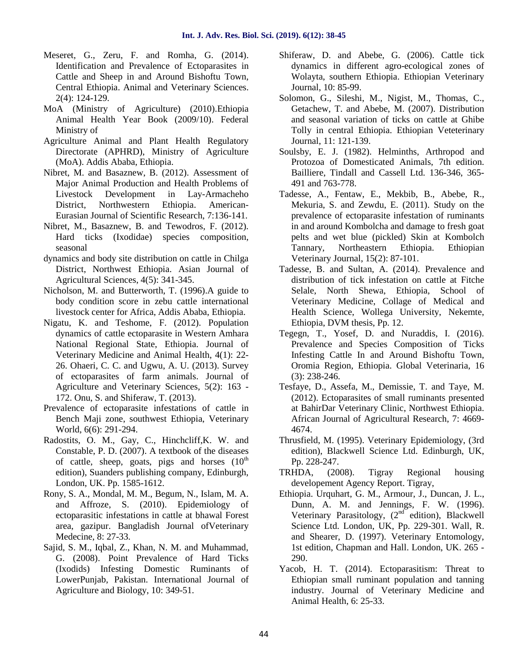- Meseret, G., Zeru, F. and Romha, G. (2014). Identification and Prevalence of Ectoparasites in Cattle and Sheep in and Around Bishoftu Town, Central Ethiopia. Animal and Veterinary Sciences. 2(4): 124-129.
- MoA (Ministry of Agriculture) (2010).Ethiopia Animal Health Year Book (2009/10). Federal Ministry of
- Agriculture Animal and Plant Health Regulatory Directorate (APHRD), Ministry of Agriculture (MoA). Addis Ababa, Ethiopia.
- Nibret, M. and Basaznew, B. (2012). Assessment of Major Animal Production and Health Problems of Livestock Development in Lay-Armacheho District, Northwestern Ethiopia. American- Eurasian Journal of Scientific Research, 7:136-141.
- Nibret, M., Basaznew, B. and Tewodros, F. (2012). Hard ticks (Ixodidae) species composition, seasonal
- dynamics and body site distribution on cattle in Chilga District, Northwest Ethiopia. Asian Journal of Agricultural Sciences, 4(5): 341-345.
- Nicholson, M. and Butterworth, T. (1996).A guide to body condition score in zebu cattle international livestock center for Africa, Addis Ababa, Ethiopia.
- Nigatu, K. and Teshome, F. (2012). Population dynamics of cattle ectoparasite in Western Amhara National Regional State, Ethiopia. Journal of Veterinary Medicine and Animal Health, 4(1): 22- 26. Ohaeri, C. C. and Ugwu, A. U. (2013). Survey of ectoparasites of farm animals. Journal of Agriculture and Veterinary Sciences, 5(2): 163 - 172. Onu, S. and Shiferaw, T. (2013).
- Prevalence of ectoparasite infestations of cattle in Bench Maji zone, southwest Ethiopia, Veterinary World, 6(6): 291-294.
- Radostits, O. M., Gay, C., Hinchcliff,K. W. and Constable, P. D. (2007). A textbook of the diseases of cattle, sheep, goats, pigs and horses  $(10<sup>th</sup>)$ edition), Suanders publishing company, Edinburgh, London, UK. Pp. 1585-1612.
- Rony, S. A., Mondal, M. M., Begum, N., Islam, M. A. and Affroze, S. (2010). Epidemiology of ectoparasitic infestations in cattle at bhawal Forest area, gazipur. Bangladish Journal ofVeterinary Medecine, 8: 27-33.
- Sajid, S. M., Iqbal, Z., Khan, N. M. and Muhammad, G. (2008). Point Prevalence of Hard Ticks (Ixodids) Infesting Domestic Ruminants of LowerPunjab, Pakistan. International Journal of Agriculture and Biology, 10: 349-51.
- Shiferaw, D. and Abebe, G. (2006). Cattle tick dynamics in different agro-ecological zones of Wolayta, southern Ethiopia. Ethiopian Veterinary Journal, 10: 85-99.
- Solomon, G., Sileshi, M., Nigist, M., Thomas, C., Getachew, T. and Abebe, M. (2007). Distribution and seasonal variation of ticks on cattle at Ghibe Tolly in central Ethiopia. Ethiopian Veteterinary Journal, 11: 121-139.
- Soulsby, E. J. (1982). Helminths, Arthropod and Protozoa of Domesticated Animals, 7th edition. Bailliere, Tindall and Cassell Ltd. 136-346, 365- 491 and 763-778.
- Tadesse, A., Fentaw, E., Mekbib, B., Abebe, R., Mekuria, S. and Zewdu, E. (2011). Study on the prevalence of ectoparasite infestation of ruminants in and around Kombolcha and damage to fresh goat pelts and wet blue (pickled) Skin at Kombolch Tannary, Northeastern Ethiopia. Ethiopian Veterinary Journal, 15(2): 87-101.
- Tadesse, B. and Sultan, A. (2014). Prevalence and distribution of tick infestation on cattle at Fitche Selale, North Shewa, Ethiopia, School of Veterinary Medicine, Collage of Medical and Health Science, Wollega University, Nekemte, Ethiopia, DVM thesis, Pp. 12.
- Tegegn, T., Yosef, D. and Nuraddis, I. (2016). Prevalence and Species Composition of Ticks Infesting Cattle In and Around Bishoftu Town, Oromia Region, Ethiopia. Global Veterinaria, 16 (3): 238-246.
- Tesfaye, D., Assefa, M., Demissie, T. and Taye, M. (2012). Ectoparasites of small ruminants presented at BahirDar Veterinary Clinic, Northwest Ethiopia. African Journal of Agricultural Research, 7: 4669- 4674.
- Thrusfield, M. (1995). Veterinary Epidemiology, (3rd edition), Blackwell Science Ltd. Edinburgh, UK, Pp. 228-247.
- TRHDA, (2008). Tigray Regional housing developement Agency Report. Tigray,
- Ethiopia. Urquhart, G. M., Armour, J., Duncan, J. L., Dunn, A. M. and Jennings, F. W. (1996). Veterinary Parasitology,  $(2<sup>nd</sup>$  edition), Blackwell Science Ltd. London, UK, Pp. 229-301. Wall, R. and Shearer, D. (1997). Veterinary Entomology, 1st edition, Chapman and Hall. London, UK. 265 - 290.
- Yacob, H. T. (2014). Ectoparasitism: Threat to Ethiopian small ruminant population and tanning industry. Journal of Veterinary Medicine and Animal Health, 6: 25-33.